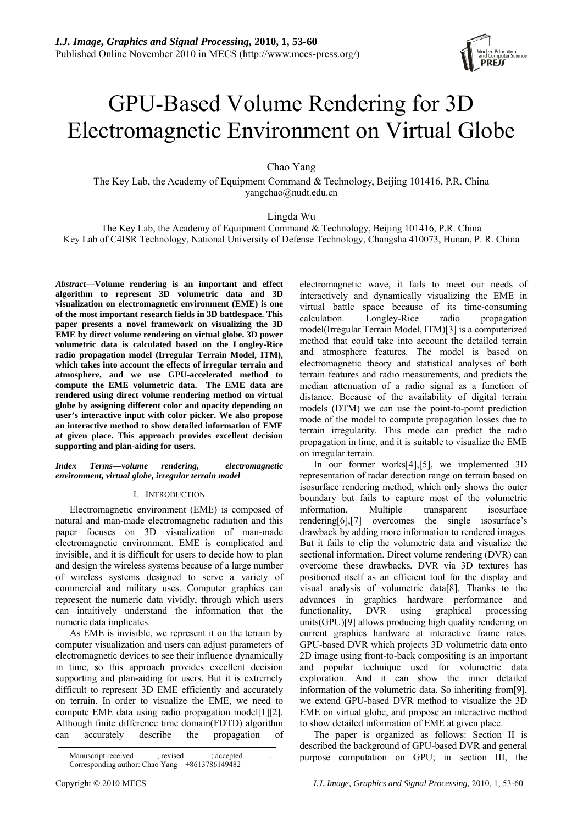# GPU-Based Volume Rendering for 3D Electromagnetic Environment on Virtual Globe

Chao Yang

The Key Lab, the Academy of Equipment Command & Technology, Beijing 101416, P.R. China yangchao@nudt.edu.cn

Lingda Wu

The Key Lab, the Academy of Equipment Command & Technology, Beijing 101416, P.R. China Key Lab of C4ISR Technology, National University of Defense Technology, Changsha 410073, Hunan, P. R. China

*Abstract***—Volume rendering is an important and effect algorithm to represent 3D volumetric data and 3D visualization on electromagnetic environment (EME) is one of the most important research fields in 3D battlespace. This paper presents a novel framework on visualizing the 3D EME by direct volume rendering on virtual globe. 3D power volumetric data is calculated based on the Longley-Rice radio propagation model (Irregular Terrain Model, ITM), which takes into account the effects of irregular terrain and atmosphere, and we use GPU-accelerated method to compute the EME volumetric data. The EME data are rendered using direct volume rendering method on virtual globe by assigning different color and opacity depending on user's interactive input with color picker. We also propose an interactive method to show detailed information of EME at given place. This approach provides excellent decision supporting and plan-aiding for users.** 

## *Index Terms—volume rendering, electromagnetic environment, virtual globe, irregular terrain model*

## I. INTRODUCTION

Electromagnetic environment (EME) is composed of natural and man-made electromagnetic radiation and this paper focuses on 3D visualization of man-made electromagnetic environment. EME is complicated and invisible, and it is difficult for users to decide how to plan and design the wireless systems because of a large number of wireless systems designed to serve a variety of commercial and military uses. Computer graphics can represent the numeric data vividly, through which users can intuitively understand the information that the numeric data implicates.

As EME is invisible, we represent it on the terrain by computer visualization and users can adjust parameters of electromagnetic devices to see their influence dynamically in time, so this approach provides excellent decision supporting and plan-aiding for users. But it is extremely difficult to represent 3D EME efficiently and accurately on terrain. In order to visualize the EME, we need to compute EME data using radio propagation model[\[1\]](#page-6-0)[\[2\].](#page-6-1) Although finite difference time domain(FDTD) algorithm can accurately describe the propagation of electromagnetic wave, it fails to meet our needs of interactively and dynamically visualizing the EME in virtual battle space because of its time-consuming calculation. Longley-Rice radio propagation model(Irregular Terrain Model, ITM)[\[3\]](#page-6-2) is a computerized method that could take into account the detailed terrain and atmosphere features. The model is based on electromagnetic theory and statistical analyses of both terrain features and radio measurements, and predicts the median attenuation of a radio signal as a function of distance. Because of the availability of digital terrain models (DTM) we can use the point-to-point prediction mode of the model to compute propagation losses due to terrain irregularity. This mode can predict the radio propagation in time, and it is suitable to visualize the EME on irregular terrain.

In our former work[s\[4\],](#page-6-3)[\[5\],](#page-6-4) we implemented 3D representation of radar detection range on terrain based on isosurface rendering method, which only shows the outer boundary but fails to capture most of the volumetric information. Multiple transparent isosurface renderin[g\[6\],](#page-6-5)[\[7\]](#page-6-6) overcomes the single isosurface's drawback by adding more information to rendered images. But it fails to clip the volumetric data and visualize the sectional information. Direct volume rendering (DVR) can overcome these drawbacks. DVR via 3D textures has positioned itself as an efficient tool for the display and visual analysis of volumetric data[\[8\]](#page-6-7). Thanks to the advances in graphics hardware performance and<br>functionality, DVR using graphical processing functionality, DVR using graphical processing units(GPU)[\[9\]](#page-6-8) allows producing high quality rendering on current graphics hardware at interactive frame rates. GPU-based DVR which projects 3D volumetric data onto 2D image using front-to-back compositing is an important and popular technique used for volumetric data exploration. And it can show the inner detailed information of the volumetric data. So inheriting from[\[9\]](#page-6-8), we extend GPU-based DVR method to visualize the 3D EME on virtual globe, and propose an interactive method to show detailed information of EME at given place.

The paper is organized as follows: Section II is described the background of GPU-based DVR and general



Manuscript received ; revised ; accepted purpose computation on GPU; in section III, the Corresponding author: Chao Yang +8613786149482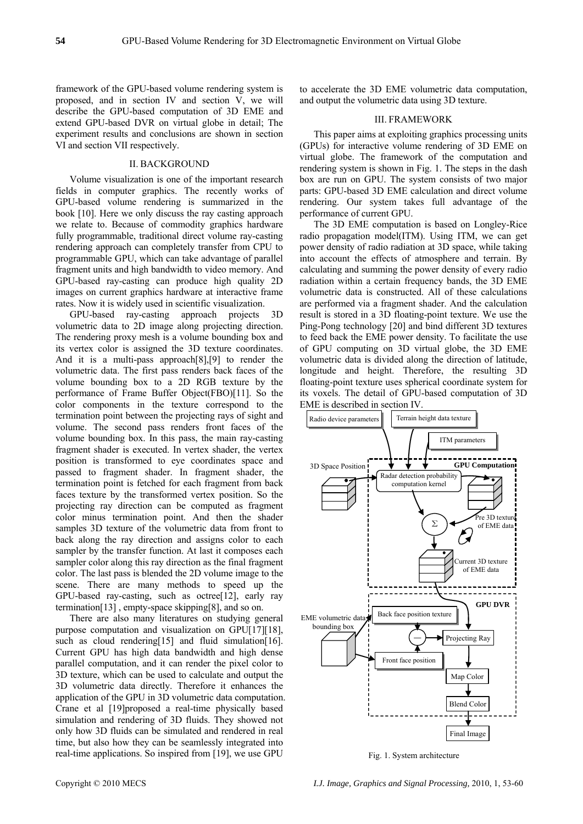framework of the GPU-based volume rendering system is proposed, and in section IV and section V, we will describe the GPU-based computation of 3D EME and extend GPU-based DVR on virtual globe in detail; The experiment results and conclusions are shown in section VI and section VII respectively.

#### II. BACKGROUND

Volume visualization is one of the important research fields in computer graphics. The recently works of GPU-based volume rendering is summarized in the book [\[10\]](#page-6-9). Here we only discuss the ray casting approach we relate to. Because of commodity graphics hardware fully programmable, traditional direct volume ray-casting rendering approach can completely transfer from CPU to programmable GPU, which can take advantage of parallel fragment units and high bandwidth to video memory. And GPU-based ray-casting can produce high quality 2D images on current graphics hardware at interactive frame rates. Now it is widely used in scientific visualization.

GPU-based ray-casting approach projects 3D volumetric data to 2D image along projecting direction. The rendering proxy mesh is a volume bounding box and its vertex color is assigned the 3D texture coordinates. And it is a multi-pass approach[\[8\]](#page-6-7)[,\[9\]](#page-6-8) to render the volumetric data. The first pass renders back faces of the volume bounding box to a 2D RGB texture by the performance of Frame Buffer Object(FBO)[\[11\]](#page-6-10). So the color components in the texture correspond to the termination point between the projecting rays of sight and volume. The second pass renders front faces of the volume bounding box. In this pass, the main ray-casting fragment shader is executed. In vertex shader, the vertex position is transformed to eye coordinates space and passed to fragment shader. In fragment shader, the termination point is fetched for each fragment from back faces texture by the transformed vertex position. So the projecting ray direction can be computed as fragment color minus termination point. And then the shader samples 3D texture of the volumetric data from front to back along the ray direction and assigns color to each sampler by the transfer function. At last it composes each sampler color along this ray direction as the final fragment color. The last pass is blended the 2D volume image to the scene. There are many methods to speed up the GPU-based ray-casting, such as octre[e\[12\]](#page-6-11), early ray terminatio[n\[13\]](#page-6-12) , empty-space skipping[\[8\]](#page-6-7), and so on.

There are also many literatures on studying general purpose computation and visualization on GP[U\[17\]](#page-6-13)[\[18\],](#page-6-14) such as cloud renderin[g\[15\]](#page-6-15) and fluid simulatio[n\[16\].](#page-6-16) Current GPU has high data bandwidth and high dense parallel computation, and it can render the pixel color to 3D texture, which can be used to calculate and output the 3D volumetric data directly. Therefore it enhances the application of the GPU in 3D volumetric data computation. Crane et al [\[19\]p](#page-6-17)roposed a real-time physically based simulation and rendering of 3D fluids. They showed not only how 3D fluids can be simulated and rendered in real time, but also how they can be seamlessly integrated into real-time applications. So inspired from [\[19\],](#page-6-17) we use GPU

to accelerate the 3D EME volumetric data computation, and output the volumetric data using 3D texture.

#### III. FRAMEWORK

This paper aims at exploiting graphics processing units (GPUs) for interactive volume rendering of 3D EME on virtual globe. The framework of the computation and rendering system is shown in Fig. 1. The steps in the dash box are run on GPU. The system consists of two major parts: GPU-based 3D EME calculation and direct volume rendering. Our system takes full advantage of the performance of current GPU.

The 3D EME computation is based on Longley-Rice radio propagation model(ITM). Using ITM, we can get power density of radio radiation at 3D space, while taking into account the effects of atmosphere and terrain. By calculating and summing the power density of every radio radiation within a certain frequency bands, the 3D EME volumetric data is constructed. All of these calculations are performed via a fragment shader. And the calculation result is stored in a 3D floating-point texture. We use the Ping-Pong technology [\[20\]](#page-6-18) and bind different 3D textures to feed back the EME power density. To facilitate the use of GPU computing on 3D virtual globe, the 3D EME volumetric data is divided along the direction of latitude, longitude and height. Therefore, the resulting 3D floating-point texture uses spherical coordinate system for its voxels. The detail of GPU-based computation of 3D EME is described in section IV.



Fig. 1. System architecture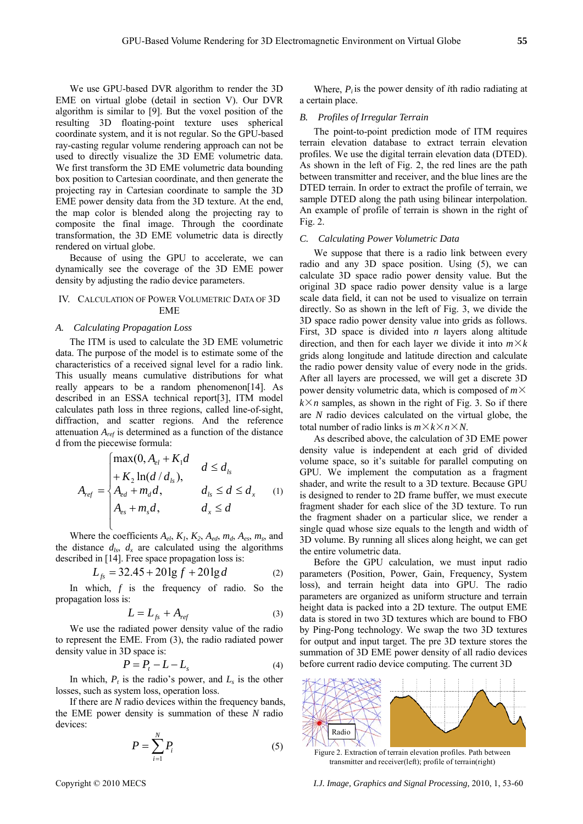We use GPU-based DVR algorithm to render the 3D EME on virtual globe (detail in section V). Our DVR algorithm is similar to [9]. But the voxel position of the resulting 3D floating-point texture uses spherical coordinate system, and it is not regular. So the GPU-based ray-casting regular volume rendering approach can not be used to directly visualize the 3D EME volumetric data. We first transform the 3D EME volumetric data bounding box position to Cartesian coordinate, and then generate the projecting ray in Cartesian coordinate to sample the 3D EME power density data from the 3D texture. At the end, the map color is blended along the projecting ray to composite the final image. Through the coordinate transformation, the 3D EME volumetric data is directly rendered on virtual globe.

Because of using the GPU to accelerate, we can dynamically see the coverage of the 3D EME power density by adjusting the radio device parameters.

## IV. CALCULATION OF POWER VOLUMETRIC DATA OF 3D EME

## *A. Calculating Propagation Loss*

The ITM is used to calculate the 3D EME volumetric data. The purpose of the model is to estimate some of the characteristics of a received signal level for a radio link. This usually means cumulative distributions for what really appears to be a random phenomenon[14]. As described in an ESSA technical report[3], ITM model calculates path loss in three regions, called line-of-sight, diffraction, and scatter regions. And the reference attenuation *Aref* is determined as a function of the distance d from the piecewise formula:

$$
A_{ref} = \begin{cases} \max(0, A_{el} + K_1 d & d \le d_{ls} \\ + K_2 \ln(d / d_{ls}), & d \le d_{ls} \\ A_{ed} + m_d d, & d_{ls} \le d \le d_x \\ A_{es} + m_s d, & d_x \le d \end{cases}
$$
 (1)

Where the coefficients  $A_{el}$ ,  $K_1$ ,  $K_2$ ,  $A_{ed}$ ,  $m_d$ ,  $A_{es}$ ,  $m_s$ , and the distance  $d_{ls}$ ,  $d_x$  are calculated using the algorithms described in [14]. Free space propagation loss is:

$$
L_{fs} = 32.45 + 20 \lg f + 20 \lg d \tag{2}
$$

In which, *f* is the frequency of radio. So the propagation loss is:

$$
L = L_{fs} + A_{ref} \tag{3}
$$

We use the radiated power density value of the radio to represent the EME. From (3), the radio radiated power density value in 3D space is:

$$
P = P_t - L - L_s \tag{4}
$$

In which,  $P_t$  is the radio's power, and  $L_s$  is the other losses, such as system loss, operation loss.

If there are *N* radio devices within the frequency bands, the EME power density is summation of these *N* radio devices:

$$
P = \sum_{i=1}^{N} P_i \tag{5}
$$

Where,  $P_i$  is the power density of *i*th radio radiating at a certain place.

## *B. Profiles of Irregular Terrain*

DTED terrain. In order to extract the profile of terrain, we sample DTED along the path using bilinear interpolation. An example of profile of terrain is shown in the right of Fig. 2. The point-to-point prediction mode of ITM requires terrain elevation database to extract terrain elevation profiles. We use the digital terrain elevation data (DTED). As shown in the left of Fig. 2, the red lines are the path between transmitter and receiver, and the blue lines are the

#### *C. Calculating Power Volumetric Data*

We suppose that there is a radio link between every radio and any 3D space position. Using (5), we can calculate 3D space radio power density value. But the original 3D space radio power density value is a large scale data field, it can not be used to visualize on terrain directly. So as shown in the left of Fig. 3, we divide the 3D space radio power density value into grids as follows. First, 3D space is divided into *n* layers along altitude direction, and then for each layer we divide it into  $m \times k$ grids along longitude and latitude direction and calculate the radio power density value of every node in the grids. After all layers are processed, we will get a discrete 3D power density volumetric data, which is composed of *m*×  $k \times n$  samples, as shown in the right of Fig. 3. So if there are *N* radio devices calculated on the virtual globe, the total number of radio links is  $m \times k \times n \times N$ .

As described above, the calculation of 3D EME power density value is independent at each grid of divided volume space, so it's suitable for parallel computing on GPU. We implement the computation as a fragment shader, and write the result to a 3D texture. Because GPU is designed to render to 2D frame buffer, we must execute fragment shader for each slice of the 3D texture. To run the fragment shader on a particular slice, we render a single quad whose size equals to the length and width of 3D volume. By running all slices along height, we can get the entire volumetric data.

Before the GPU calculation, we must input radio parameters (Position, Power, Gain, Frequency, System loss), and terrain height data into GPU. The radio parameters are organized as uniform structure and terrain height data is packed into a 2D texture. The output EME data is stored in two 3D textures which are bound to FBO by Ping-Pong technology. We swap the two 3D textures for output and input target. The pre 3D texture stores the summation of 3D EME power density of all radio devices before current radio device computing. The current 3D



Figure 2. Extraction of terrain elevation profiles. Path between transmitter and receiver(left); profile of terrain(right)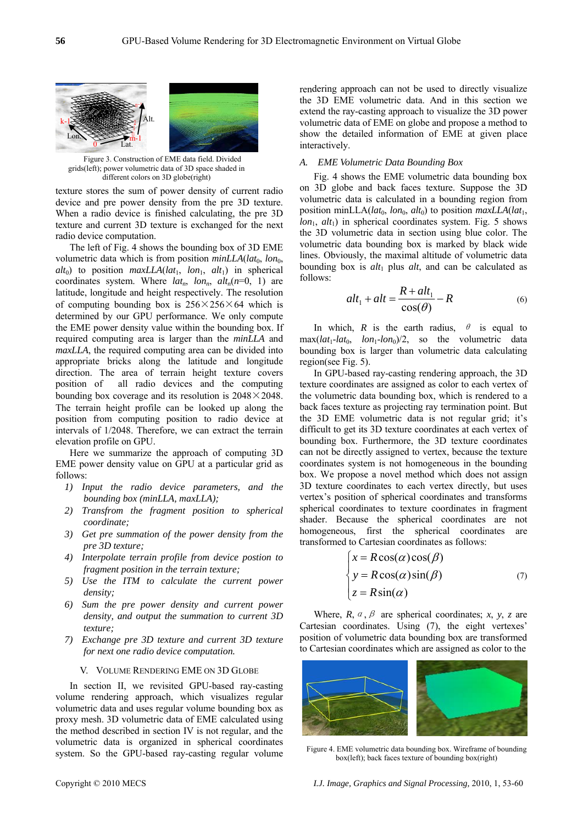

Figure 3. Construction of EME data field. Divided grids(left); power volumetric data of 3D space shaded in different colors on 3D globe(right)

texture stores the sum of power density of current radio device and pre power density from the pre 3D texture. When a radio device is finished calculating, the pre 3D texture and current 3D texture is exchanged for the next radio device computation.

The left of Fig. 4 shows the bounding box of 3D EME volumetric data which is from position  $minLLA(lat_0, lon_0,$ coordinates system. Where  $lat_n$ ,  $lon_n$ ,  $alt_n(n=0, 1)$  are latitude, longitude and height respectively. The resolution determined by our GPU performance. We only compute the EME power density value within the bounding box. If req uired computing area is larger than the *minLLA* and  $alt_0$ ) to position *maxLLA*( $lat_1$ ,  $lon_1$ ,  $alt_1$ ) in spherical of computing bounding box is  $256 \times 256 \times 64$  which is *maxLLA*, the required computing area can be divided into appropriate bricks along the latitude and longitude direction. The area of terrain height texture covers position of all radio devices and the computing bounding box coverage and its resolution is  $2048 \times 2048$ . The terrain height profile can be looked up along the position from computing position to radio device at intervals of 1/2048. Therefore, we can extract the terrain elevation profile on GPU.

Here we summarize the approach of computing 3D EME power density value on GPU at a particular grid as follows:

- 1) Input the radio device parameters, and the *bounding box (minLLA, maxLLA);*
- *2) Transfrom the fragment position to spherical coordinate;*
- *3 ) Get pre summation of the power density from the pre 3D texture;*
- *stion to 4) Interpolate terrain profile from device po* fragment position in the terrain texture;
- *5) Use the ITM to calculate the current power density;*
- *6*) Sum the pre power density and current power *density, and output the su mmation to current 3D texture;*
- for next one radio device computation. *7) Exchange pre 3D texture and current 3D texture*

#### V. VOLUME RENDERING EM E ON 3D GLOBE

the method described in section IV is not regular, and the volumetric data is organized in spherical coordinates system. So the GPU-based ray-casting regular volume In section II, we revisited GPU-based ray-casting volum e rendering approach, which visualizes regular volumetric data and uses regular volume bounding box as proxy mesh. 3D volumetric data of EME calculated using

ren dering approach can not be used to directly visualize the 3D EME volumetric data. And in this section we extend the ray-casting approach to visualize the 3D power sho w the detailed information of EME at given place volumetric data of EME on globe and propose a method to interactively.

## *A. EME Volumetric Data Bounding Box*

Fig. 4 shows the EME volumetric data bounding box on 3D globe and back faces texture. Suppose the 3D volumetric data is calculated in a bounding region from position minLLA( $lat_0$ ,  $lon_0$ ,  $alt_0$ ) to position  $maxLLA(lat_1,$  $lon<sub>1</sub>$ ,  $alt<sub>1</sub>$ ) in spherical coordinates system. Fig. 5 shows the 3D volumetric data in section using blue color. The line s. Obviously, the maximal altitude of volumetric data volumetric data bounding box is marked by black wide bounding box is *alt*<sub>1</sub> plus *alt*, and can be calculated as follows:

$$
alt_1 + alt = \frac{R + alt_1}{\cos(\theta)} - R
$$
 (6)

In which, *R* is the earth radius,  $\theta$  is equal to  $max(lat_1-lat_0, \quad lon_1-lon_0)/2$ , so the volumetric data bounding box is larger than volumetric data calculating region(see Fig. 5).

In GPU-based ray-casting rendering approach, the 3D texture coordinates are assigned as color to each vertex of the volumetric data bounding box, which is rendered to a back faces texture as projecting ray termination point. But the 3D EME volumetric data is not regular grid; it's difficult to get its 3D texture coordinates at each vertex of bounding box. Furthermore, the 3D texture coordinates can not be directly assigned to vertex, because the texture coordinates system is not homogeneous in the bounding box. We propose a novel method which does not assign 3D texture coordinates to each vertex directly, but uses vertex's position of spherical coordinates and transforms spherical coordinates to texture coordinates in fragment shader. Because the spherical coordinates are not homogeneous, first the spherical coordinates are transformed to Cartesian coordinates as follows:

$$
\begin{cases}\nx = R\cos(\alpha)\cos(\beta) \\
y = R\cos(\alpha)\sin(\beta) \\
z = R\sin(\alpha)\n\end{cases}
$$
\n(7)

Where,  $R, a, \beta$  are spherical coordinates; *x*, *y*, *z* are Cartesian coordinates. Using (7), the eight vertexes' position of volumetric data bounding box are transformed to Cartesian coordinates which are assigned as color to the



Figure 4. EME volumetric data bounding box. Wireframe of bounding box(left); back faces texture of bounding box(right)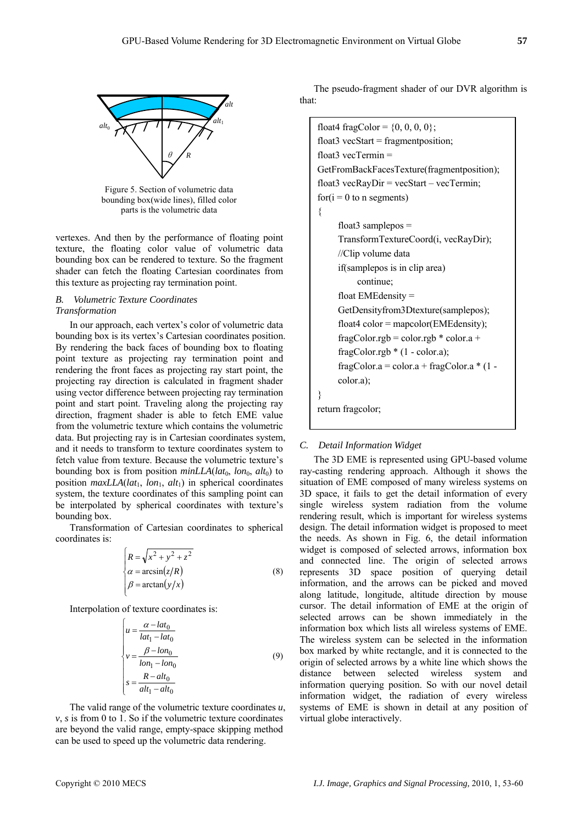

Figure 5. Section of volumetric data bounding box(wide lines), filled color parts is the volumetric data

vertexes. And then by the performance of floating point texture, the floating color value of volumetric data bounding box can be rendered to texture. So the fragment shader can fetch the floating Cartesian coordinates from this texture as projecting ray termination point.

## *B. Volumetric Texture Coordinates Transformation*

In our approach, each vertex's color of volumetric data bounding box is its vertex's Cartesian coordinates position. By rendering the back faces of bounding box to floating point texture as projecting ray termination point and rendering the front faces as projecting ray start point, the projecting ray direction is calculated in fragment shader using vector difference between projecting ray termination point and start point. Traveling along the projecting ray direction, fragment shader is able to fetch EME value from the volumetric texture which contains the volumetric data. But projecting ray is in Cartesian coordinates system, and it needs to transform to texture coordinates system to fetch value from texture. Because the volumetric texture's bounding box is from position  $minLLA(lat_0, lon_0, alt_0)$  to position  $maxLLA(lat_1, lon_1, alt_1)$  in spherical coordinates system, the texture coordinates of this sampling point can be interpolated by spherical coordinates with texture's bounding box.

Transformation of Cartesian coordinates to spherical coordinates is:

$$
\begin{cases}\nR = \sqrt{x^2 + y^2 + z^2} \\
\alpha = \arcsin(z/R) \\
\beta = \arctan(y/x)\n\end{cases}
$$
\n(8)

Interpolation of texture coordinates is:

$$
\begin{cases}\n u = \frac{\alpha - lat_0}{lat_1 - lat_0} \\
 v = \frac{\beta - lon_0}{lon_1 - lon_0} \\
 s = \frac{R - alt_0}{alt_1 - alt_0}\n\end{cases}
$$
\n(9)

The valid range of the volumetric texture coordinates *u*,  $v, s$  is from 0 to 1. So if the volumetric texture coordinates are beyond the valid range, empty-space skipping method can be used to speed up the volumetric data rendering.

The pseudo-fragment shader of our DVR algorithm is that:

```
float4 fragColor = \{0, 0, 0, 0\};
float3 vecStart = fragment position;
     if(samplepos is in clip area) 
           continue; 
     float EMEdensity = 
     fragColor.rgb *(1 - color.a);float3 vecTermin = 
GetFromBackFacesTexture(fragmentposition); 
float3 vecRayDir = vecStart – vecTermin;
for(i = 0 to n segments){ 
     float3 samplepos =TransformTextureCoord(i, vecRayDir); 
     //Clip volume data 
     GetDensityfrom3Dtexture(samplepos); 
     float4 color = mapcolor(EMEdensity);
     fragColor.rgb = color.rgb * color.a +
     fragColor.a = color.a + fragColor.a *(1 -color.a); 
} 
return fragcolor;
```
# *C. Detail Information Widget*

the needs. As shown in Fig. 6, the detail information widget is composed of selected arrows, information box and connected line. The origin of selected arrows represents 3D space position of querying detail information, and the arrows can be picked and moved along latitude, longitude, altitude direction by mouse cur sor. The detail information of EME at the origin of box marked by white rectangle, and it is connected to the origin of selected arrows by a white line which shows the distance between selected wireless system and information querying position. So with our novel detail information widget, the radiation of every wireless systems of EME is shown in detail at any position of virtual globe interactively. The 3D EME is represented using GPU-based volume ray-casting rendering approach. Although it shows the situation of EME composed of many wireless systems on 3D space, it fails to get the detail information of every single wireless system radiation from the volume rendering result, which is important for wireless systems design. The detail information widget is proposed to meet selected arrows can be shown immediately in the information box which lists all wireless systems of EME. The wireless system can be selected in the information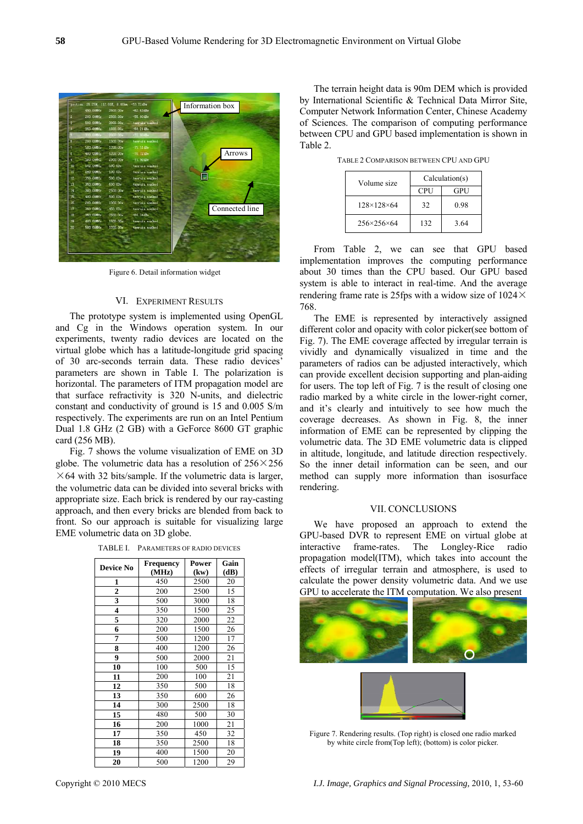

Figure 6. Detail information widget

### VI. EXPERIMENT RESULTS

The prototyp e system is implemented using OpenGL and Cg in the Windows operation system. In our experiments, twenty radio devices are located on the virtual globe which has a latitude-longitude grid spacing of 30 arc-seconds terrain data. These radio devices' parameters are shown in Table I. The polarization is horizontal. The parameters of ITM propagation model are that surface refractivity is 320 N-units, and dielectric constant and conductivity of ground is 15 and 0.005 S/m respectively. The experiments are run on an Intel Pentium Dual 1.8 GHz (2 GB) with a GeForce 8600 GT graphic card (256 MB).

Fig. 7 shows the volume visualization of EME on 3D globe. The volumetric data has a resolution of  $256 \times 256$  $\times$  64 with 32 bits/sample. If the volumetric data is larger, the volumetric data can be divided into several bricks with appropriate size. Each brick is rendered by our ray-casting approach, and then every bricks are blended from back to front. So our approach is suitable for visualizing large EME volumetric data on 3D globe.

| <b>Device No</b>        | <b>Frequency</b> | Power | Gain |
|-------------------------|------------------|-------|------|
|                         | (MHz)            | (kw)  | (dB) |
| 1                       | 450              | 2500  | 20   |
| $\overline{\mathbf{c}}$ | 200              | 2500  | 15   |
| 3                       | 500              | 3000  | 18   |
| 4                       | 350              | 1500  | 25   |
| 5                       | 320              | 2000  | 22   |
| 6                       | 200              | 1500  | 26   |
| 7                       | 500              | 1200  | 17   |
| 8                       | 400              | 1200  | 26   |
| 9                       | 500              | 2000  | 21   |
| 10                      | 100              | 500   | 15   |
| 11                      | 200              | 100   | 21   |
| 12                      | 350              | 500   | 18   |
| 13                      | 350              | 600   | 26   |
| 14                      | 300              | 2500  | 18   |
| 15                      | 480              | 500   | 30   |
| 16                      | 200              | 1000  | 21   |
| 17                      | 350              | 450   | 32   |
| 18                      | 350              | 2500  | 18   |
| 19                      | 400              | 1500  | 20   |
| 20                      | 500              | 1200  | 29   |

TABLE I. PARAMETERS OF RADIO DEVICES

The terrain height data is 90m DEM which is provided by International Scientific & Technical Data Mirror Site, Computer Network Information Center, Chinese Academy of Sciences. The comparison of computing performance between CPU and GPU based implementation is shown in Tabl e 2.

TABLE 2 COMPARISON BETWEEN CPU AND GPU

| Volume size                | Calculation(s) |      |  |
|----------------------------|----------------|------|--|
|                            | <b>CPU</b>     | GPU  |  |
| $128 \times 128 \times 64$ | 32             | 0.98 |  |
| $256 \times 256 \times 64$ | 132            | 3.64 |  |

From Table 2, we can see that GPU based implementation improves the computing performance about 30 times than the CPU based. Our GPU based system is able to interact in real-time. And the average rendering frame rate is 25fps with a widow size of  $1024 \times$ 768.

The EME is represented by interactively assigned different color and opacity with color picker(see bottom of Fig. 7). The EME coverage affected by irregular terrain is vividly and dynamically visualized in time and the parameters of radios can be adjusted interactively, which can provide excellent decision supporting and plan-aiding for users. The top left of Fig.  $7$  is the result of closing one radio marked by a white circle in the lower-right corner, and it's clearly and intuitively to see how much the coverage decreases. As shown in Fig. 8, the inner information of EME can be represented by clipping the volumetric data. The 3D EME volumetric data is clipped in altitude, longitude, and latitude direction respectively. So the inner detail information can be seen, and our method can supply more information than isosurface rendering.

## VII. CONCLUSIONS

We have proposed an approach to extend the GPU-based DVR to represent EME on virtual globe at interactive frame-rates. The Longley-Rice radio propagation model(ITM), which takes into account the effects of irregular terrain and atmosphere, is used to calculate the power density volumetric data. And we use GPU to accelerate the ITM computation. We also present





Figure 7. Rendering results. (Top right) is closed one radio marked by white circle from(Top left); (bottom) is color picker.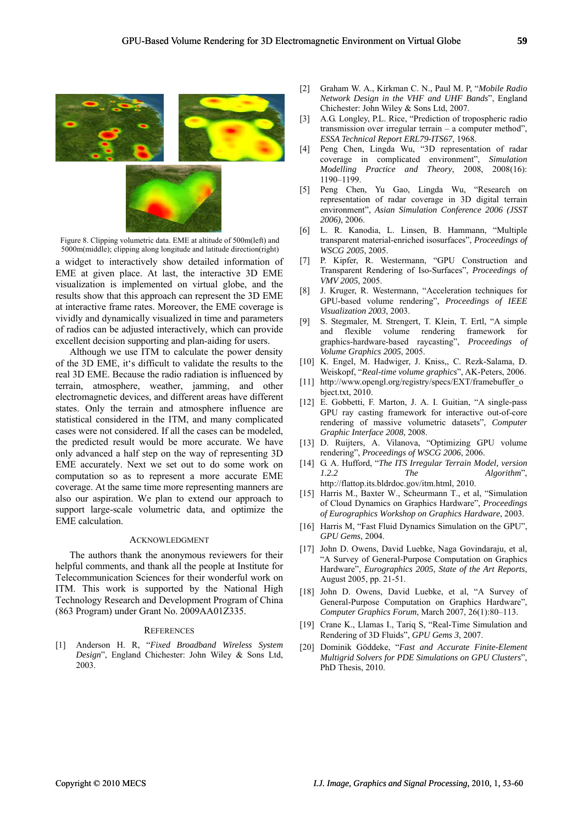<span id="page-6-3"></span><span id="page-6-2"></span><span id="page-6-1"></span>

Figure 8. Clipping volumetric data. EME at altitude of 500m(left) and 5000m(middle); clipping along longitude and latitude direction(right)

<span id="page-6-7"></span><span id="page-6-6"></span><span id="page-6-5"></span><span id="page-6-4"></span>a widget to interactively show detailed information of EME at given place. At last, the interactive 3D EME visualization is implemented on virtual globe, and the results show that this approach can represent the 3D EME at interactive frame rates. Moreover, the EME coverage is vivi dly and dynamically visualized in time and parameters of radios can be adjusted interactively, which can provide excellent decision supporting and plan-aiding for users.

<span id="page-6-12"></span><span id="page-6-11"></span><span id="page-6-10"></span><span id="page-6-9"></span><span id="page-6-8"></span>the predicted result would be more accurate. We have onl y advanced a half step on the way of representing 3D Although we use ITM to calculate the power density of the 3D EME, it's difficult to validate the results to the real 3D EME. Because the radio radiation is influenced by terrain, atmosphere, weather, jamming, and other electromagnetic devices, and different areas have different states. Only the terrain and atmosphere influence are statistical considered in the ITM, and many complicated cases were not considered. If all the cases can be modeled, EME accurately. Next we set out to do some work on computation so as to represent a more accurate EME coverage. At the same time more representing manners are also our aspiration. We plan to extend our approach to support large-scale volumetric data, and optimize the EME calculation.

#### **ACKNOWLEDGMENT**

<span id="page-6-16"></span><span id="page-6-15"></span><span id="page-6-14"></span><span id="page-6-13"></span>The authors thank the anonymous reviewers for their helpful comments, and thank all the people at Institute for Telecommunication Sciences for their wonderful work on ITM. This work is supported by the National High Technology Research and Development Program of China (863 Program) under Grant No. 2009AA01Z335.

#### **REFERENCES**

<span id="page-6-18"></span><span id="page-6-17"></span><span id="page-6-0"></span>[1] Anderson H. R, "Fixed Broadband Wireless System Design", England Chichester: John Wiley & Sons Ltd, 2003.

- [2] Graham W. A., Kirkman C. N., Paul M. P, "*Mobile Radio Network Design in the VHF and UHF Bands*", England Chichester: John Wiley & Sons Ltd, 2007.
- [3] A.G. Longley, P.L. Rice, "Prediction of tropospheric radio transmission over irregular terrain – a computer method", *ESSA Technical Report ERL79-ITS67*, 1968.
- [4] Peng Chen, Lingda Wu, "3D representation of radar coverage in complicated environment", *Simulation Modelling Practice and Theory*, 2008, 2008(16): 1190–119 9.
- [5] Peng Chen, Yu Gao, Lingda Wu, "Research on representation of radar coverage in 3D digital terrain environment", Asian Simulation Conference 2006 (JSST *2006)*, 200 6.
- [6] L. R. Kanodia, L. Linsen, B. Hammann, "Multiple transparent material-enriched isosurfaces", *Proceedings of WSCG 2005*, 2005.
- [7] P. Kipfer, R. Westermann, "GPU Construction and Transparent Rendering of Iso-Surfaces", *Proceedings of VMV 2005*, 2005.
- [8] J. Kruger, R. Westermann, "Acceleration techniques for GPU-based volume rendering", *Proceedings of IEEE Visualization 2003*, 2003.
- [9] S. Stegmaler, M. Strengert, T. Klein, T. Ertl, "A simple and flexible volume rendering framework for graphics-hardware-based raycasting", *Proceedings of Volume Graphics 2005*, 2005.
- [10] K. Engel, M. Hadwiger, J. Kniss,, C. Rezk-Salama, D. Weiskopf, "*Real-time volume graphics*", AK-Peters, 2006.
- [11] http://www.opengl.org/registry/specs/EXT/framebuffer\_o bject.txt, 2010.
- [12] E. Gobbetti, F. Marton, J. A. I. Guitian, "A single-pass GPU ray casting framework for interactive out-of-core rendering of massive volumetric datasets", *Computer Graphic Interface 2008*, 2008.
- [13] D. Ruijters, A. Vilanova, "Optimizing GPU volume rendering", *Proceedings of WSCG 2006*, 2006.
- [14] G. A. Hufford, "*The ITS Irregular Terrain Model, version 1.2.2 The Algorithm*", http://flattop.its.bldrdoc.gov/itm.html, 2010.
- [15] Harris M., Baxter W., Scheurmann T., et al, "Simulation of Cloud Dynamics on Graphics Hardware", Proceedings of Eurographics Workshop on Graphics Hardware, 2003.
- [16] Harris M, "Fast Fluid Dynamics Simulation on the GPU", *GPU Gems*, 2004.
- [17] John D. Owens, David Luebke, Naga Govindaraju, et al, "A Survey of General-Purpose Computation on Graphics Hardware", *Eurographics 2005, State of the Art Reports*, August 2005, pp. 21-51.
- General-Purpose Computation on Graphics Hardware", *Computer Graphics Forum*, March 2007, 26(1):80–113. [18] John D. Owens, David Luebke, et al, "A Survey of
- [19] Crane K., Llamas I., Tariq S, "Real-Time Simulation and Rendering of 3D Fluids", *GPU Gems 3*, 2007.
- [20] Dominik Göddeke, "*Fast and Accurate Finite-Element Multigrid Solvers for PDE Simulations on GPU Clusters*", PhD Thesis, 2010.